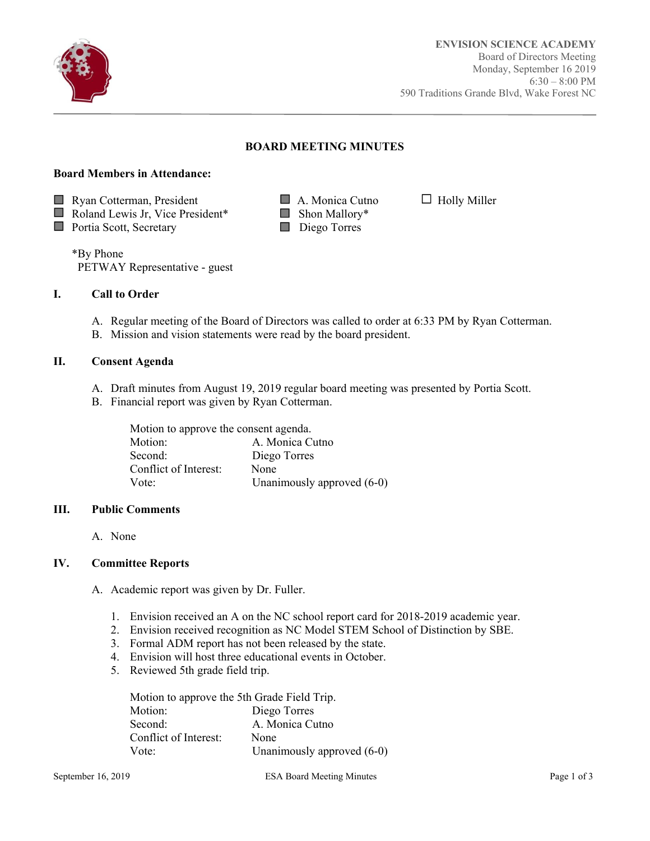

Ī

# **BOARD MEETING MINUTES**

#### **Board Members in Attendance:**

 $\Box$  Ryan Cotterman, President  $\Box$  A. Monica Cutno  $\Box$  Holly Miller

Roland Lewis Jr, Vice President\* **Shon Mallory\*** 

■ Portia Scott, Secretary ■ Diego Torres

\*By Phone PETWAY Representative - guest

### **I. Call to Order**

- A. Regular meeting of the Board of Directors was called to order at 6:33 PM by Ryan Cotterman.
- B. Mission and vision statements were read by the board president.

### **II. Consent Agenda**

- A. Draft minutes from August 19, 2019 regular board meeting was presented by Portia Scott.
- B. Financial report was given by Ryan Cotterman.

| Motion to approve the consent agenda. |                            |  |
|---------------------------------------|----------------------------|--|
| Motion:                               | A. Monica Cutno            |  |
| Second:                               | Diego Torres               |  |
| Conflict of Interest:                 | None                       |  |
| Vote:                                 | Unanimously approved (6-0) |  |

#### **III. Public Comments**

A. None

#### **IV. Committee Reports**

A. Academic report was given by Dr. Fuller.

- 1. Envision received an A on the NC school report card for 2018-2019 academic year.
- 2. Envision received recognition as NC Model STEM School of Distinction by SBE.
- 3. Formal ADM report has not been released by the state.
- 4. Envision will host three educational events in October.
- 5. Reviewed 5th grade field trip.

| Motion to approve the 5th Grade Field Trip. |                              |  |
|---------------------------------------------|------------------------------|--|
| Motion:                                     | Diego Torres                 |  |
| Second:                                     | A. Monica Cutno              |  |
| Conflict of Interest:                       | None                         |  |
| Vote:                                       | Unanimously approved $(6-0)$ |  |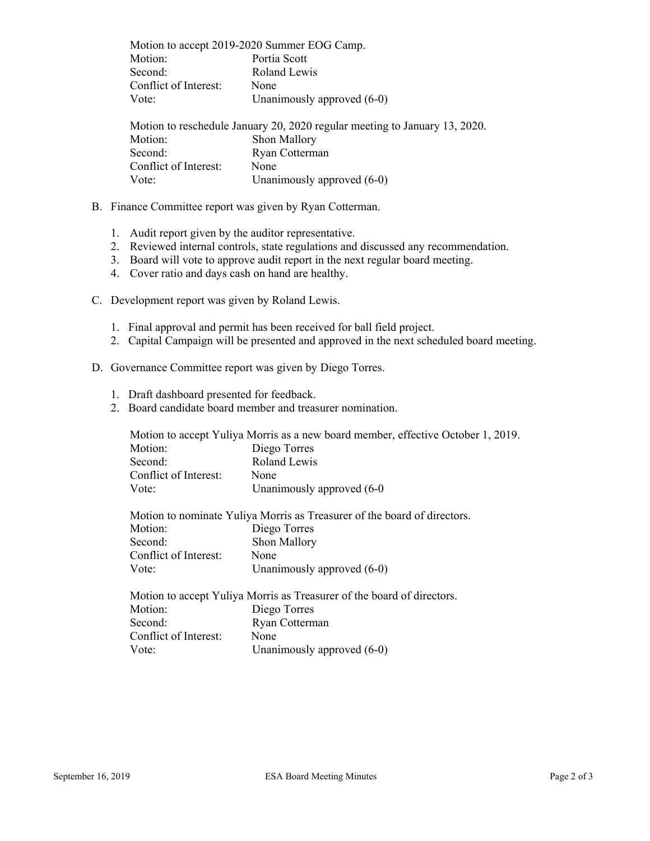|                       | Motion to accept 2019-2020 Summer EOG Camp.                                |
|-----------------------|----------------------------------------------------------------------------|
| Motion:               | Portia Scott                                                               |
| Second:               | Roland Lewis                                                               |
| Conflict of Interest: | None                                                                       |
| Vote:                 | Unanimously approved (6-0)                                                 |
|                       | Motion to reschedule January 20, 2020 regular meeting to January 13, 2020. |
| Motion:               | Shon Mallory                                                               |
| Second:               | Ryan Cotterman                                                             |
| Conflict of Interest: | None                                                                       |
| Vote:                 | Unanimously approved (6-0)                                                 |

- B. Finance Committee report was given by Ryan Cotterman.
	- 1. Audit report given by the auditor representative.
	- 2. Reviewed internal controls, state regulations and discussed any recommendation.
	- 3. Board will vote to approve audit report in the next regular board meeting.
	- 4. Cover ratio and days cash on hand are healthy.
- C. Development report was given by Roland Lewis.
	- 1. Final approval and permit has been received for ball field project.
	- 2. Capital Campaign will be presented and approved in the next scheduled board meeting.
- D. Governance Committee report was given by Diego Torres.
	- 1. Draft dashboard presented for feedback.
	- 2. Board candidate board member and treasurer nomination.

| Motion to accept Yuliya Morris as a new board member, effective October 1, 2019. |                            |  |
|----------------------------------------------------------------------------------|----------------------------|--|
| Motion:                                                                          | Diego Torres               |  |
| Second:                                                                          | Roland Lewis               |  |
| Conflict of Interest:                                                            | None                       |  |
| Vote:                                                                            | Unanimously approved (6-0) |  |
| Motion to nominate Yuliya Morris as Treasurer of the board of directors.         |                            |  |
| Motion:                                                                          | Diego Torres               |  |
| Second:                                                                          | Shon Mallory               |  |
| Conflict of Interest:                                                            | None                       |  |
| Vote:                                                                            | Unanimously approved (6-0) |  |
| Motion to accept Yuliya Morris as Treasurer of the board of directors.           |                            |  |
| Motion:                                                                          | Diego Torres               |  |
| Second:                                                                          | Ryan Cotterman             |  |
| Conflict of Interest:                                                            | None                       |  |
| Vote:                                                                            | Unanimously approved (6-0) |  |